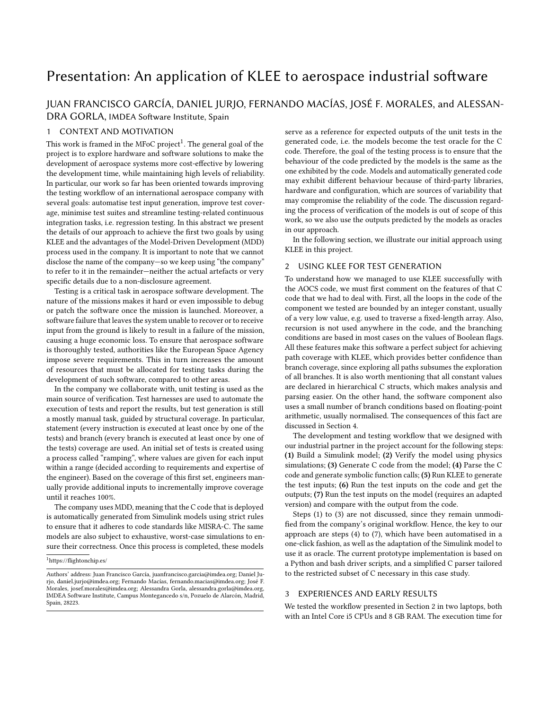# Presentation: An application of KLEE to aerospace industrial software

## JUAN FRANCISCO GARCÍA, DANIEL JURJO, FERNANDO MACÍAS, JOSÉ F. MORALES, and ALESSAN-DRA GORLA, IMDEA Software Institute, Spain

## 1 CONTEXT AND MOTIVATION

This work is framed in the MFoC project<sup>[1](#page-0-0)</sup>. The general goal of the project is to explore hardware and software solutions to make the development of aerospace systems more cost-effective by lowering the development time, while maintaining high levels of reliability. In particular, our work so far has been oriented towards improving the testing workflow of an international aerospace company with several goals: automatise test input generation, improve test coverage, minimise test suites and streamline testing-related continuous integration tasks, i.e. regression testing. In this abstract we present the details of our approach to achieve the first two goals by using KLEE and the advantages of the Model-Driven Development (MDD) process used in the company. It is important to note that we cannot disclose the name of the company—so we keep using "the company" to refer to it in the remainder—neither the actual artefacts or very specific details due to a non-disclosure agreement.

Testing is a critical task in aerospace software development. The nature of the missions makes it hard or even impossible to debug or patch the software once the mission is launched. Moreover, a software failure that leaves the system unable to recover or to receive input from the ground is likely to result in a failure of the mission, causing a huge economic loss. To ensure that aerospace software is thoroughly tested, authorities like the European Space Agency impose severe requirements. This in turn increases the amount of resources that must be allocated for testing tasks during the development of such software, compared to other areas.

In the company we collaborate with, unit testing is used as the main source of verification. Test harnesses are used to automate the execution of tests and report the results, but test generation is still a mostly manual task, guided by structural coverage. In particular, statement (every instruction is executed at least once by one of the tests) and branch (every branch is executed at least once by one of the tests) coverage are used. An initial set of tests is created using a process called "ramping", where values are given for each input within a range (decided according to requirements and expertise of the engineer). Based on the coverage of this first set, engineers manually provide additional inputs to incrementally improve coverage until it reaches 100%.

The company uses MDD, meaning that the C code that is deployed is automatically generated from Simulink models using strict rules to ensure that it adheres to code standards like MISRA-C. The same models are also subject to exhaustive, worst-case simulations to ensure their correctness. Once this process is completed, these models

<span id="page-0-0"></span><sup>1</sup>https://flightonchip.es/

serve as a reference for expected outputs of the unit tests in the generated code, i.e. the models become the test oracle for the C code. Therefore, the goal of the testing process is to ensure that the behaviour of the code predicted by the models is the same as the one exhibited by the code. Models and automatically generated code may exhibit different behaviour because of third-party libraries, hardware and configuration, which are sources of variability that may compromise the reliability of the code. The discussion regarding the process of verification of the models is out of scope of this work, so we also use the outputs predicted by the models as oracles in our approach.

In the following section, we illustrate our initial approach using KLEE in this project.

## <span id="page-0-1"></span>2 USING KLEE FOR TEST GENERATION

To understand how we managed to use KLEE successfully with the AOCS code, we must first comment on the features of that C code that we had to deal with. First, all the loops in the code of the component we tested are bounded by an integer constant, usually of a very low value, e.g. used to traverse a fixed-length array. Also, recursion is not used anywhere in the code, and the branching conditions are based in most cases on the values of Boolean flags. All these features make this software a perfect subject for achieving path coverage with KLEE, which provides better confidence than branch coverage, since exploring all paths subsumes the exploration of all branches. It is also worth mentioning that all constant values are declared in hierarchical C structs, which makes analysis and parsing easier. On the other hand, the software component also uses a small number of branch conditions based on floating-point arithmetic, usually normalised. The consequences of this fact are discussed in Section [4.](#page-1-0)

The development and testing workflow that we designed with our industrial partner in the project account for the following steps: (1) Build a Simulink model; (2) Verify the model using physics simulations; (3) Generate C code from the model; (4) Parse the C code and generate symbolic function calls; (5) Run KLEE to generate the test inputs; (6) Run the test inputs on the code and get the outputs; (7) Run the test inputs on the model (requires an adapted version) and compare with the output from the code.

Steps (1) to (3) are not discussed, since they remain unmodified from the company's original workflow. Hence, the key to our approach are steps (4) to (7), which have been automatised in a one-click fashion, as well as the adaptation of the Simulink model to use it as oracle. The current prototype implementation is based on a Python and bash driver scripts, and a simplified C parser tailored to the restricted subset of C necessary in this case study.

## 3 EXPERIENCES AND EARLY RESULTS

We tested the workflow presented in Section [2](#page-0-1) in two laptops, both with an Intel Core i5 CPUs and 8 GB RAM. The execution time for

Authors' address: Juan Francisco García, juanfrancisco.garcia@imdea.org; Daniel Jurjo, daniel.jurjo@imdea.org; Fernando Macías, fernando.macias@imdea.org; José F. Morales, josef.morales@imdea.org; Alessandra Gorla, alessandra.gorla@imdea.org, IMDEA Software Institute, Campus Montegancedo s/n, Pozuelo de Alarcón, Madrid, Spain, 28223.